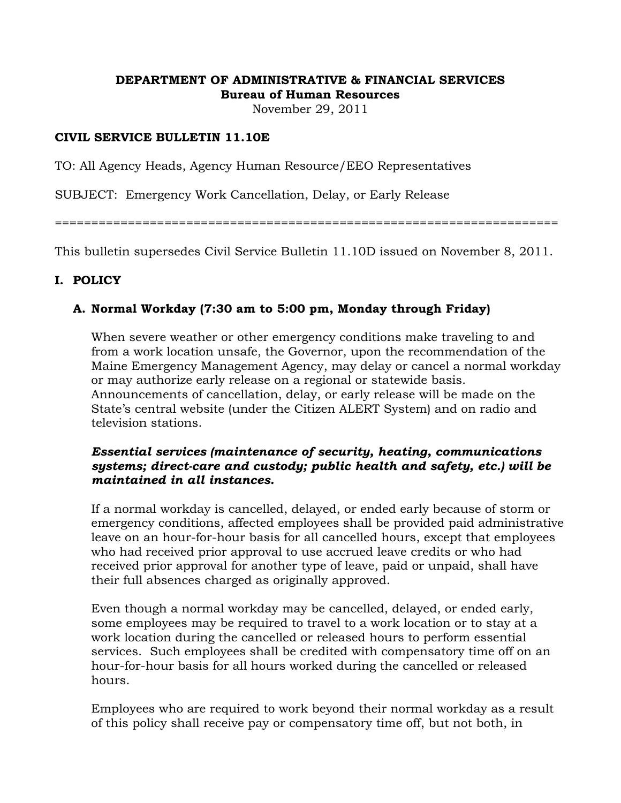#### **DEPARTMENT OF ADMINISTRATIVE & FINANCIAL SERVICES Bureau of Human Resources**

November 29, 2011

#### **CIVIL SERVICE BULLETIN 11.10E**

TO: All Agency Heads, Agency Human Resource/EEO Representatives

SUBJECT: Emergency Work Cancellation, Delay, or Early Release

=====================================================================

This bulletin supersedes Civil Service Bulletin 11.10D issued on November 8, 2011.

#### **I. POLICY**

### **A. Normal Workday (7:30 am to 5:00 pm, Monday through Friday)**

 When severe weather or other emergency conditions make traveling to and from a work location unsafe, the Governor, upon the recommendation of the Maine Emergency Management Agency, may delay or cancel a normal workday or may authorize early release on a regional or statewide basis. Announcements of cancellation, delay, or early release will be made on the State's central website (under the Citizen ALERT System) and on radio and television stations.

#### *Essential services (maintenance of security, heating, communications systems; direct-care and custody; public health and safety, etc.) will be maintained in all instances.*

 If a normal workday is cancelled, delayed, or ended early because of storm or emergency conditions, affected employees shall be provided paid administrative leave on an hour-for-hour basis for all cancelled hours, except that employees who had received prior approval to use accrued leave credits or who had received prior approval for another type of leave, paid or unpaid, shall have their full absences charged as originally approved.

 Even though a normal workday may be cancelled, delayed, or ended early, some employees may be required to travel to a work location or to stay at a work location during the cancelled or released hours to perform essential services. Such employees shall be credited with compensatory time off on an hour-for-hour basis for all hours worked during the cancelled or released hours.

 Employees who are required to work beyond their normal workday as a result of this policy shall receive pay or compensatory time off, but not both, in